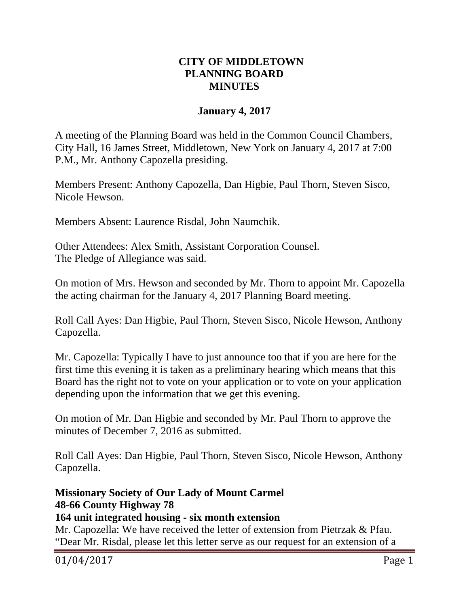# **CITY OF MIDDLETOWN PLANNING BOARD MINUTES**

## **January 4, 2017**

A meeting of the Planning Board was held in the Common Council Chambers, City Hall, 16 James Street, Middletown, New York on January 4, 2017 at 7:00 P.M., Mr. Anthony Capozella presiding.

Members Present: Anthony Capozella, Dan Higbie, Paul Thorn, Steven Sisco, Nicole Hewson.

Members Absent: Laurence Risdal, John Naumchik.

Other Attendees: Alex Smith, Assistant Corporation Counsel. The Pledge of Allegiance was said.

On motion of Mrs. Hewson and seconded by Mr. Thorn to appoint Mr. Capozella the acting chairman for the January 4, 2017 Planning Board meeting.

Roll Call Ayes: Dan Higbie, Paul Thorn, Steven Sisco, Nicole Hewson, Anthony Capozella.

Mr. Capozella: Typically I have to just announce too that if you are here for the first time this evening it is taken as a preliminary hearing which means that this Board has the right not to vote on your application or to vote on your application depending upon the information that we get this evening.

On motion of Mr. Dan Higbie and seconded by Mr. Paul Thorn to approve the minutes of December 7, 2016 as submitted.

Roll Call Ayes: Dan Higbie, Paul Thorn, Steven Sisco, Nicole Hewson, Anthony Capozella.

# **Missionary Society of Our Lady of Mount Carmel 48-66 County Highway 78**

#### **164 unit integrated housing - six month extension**

Mr. Capozella: We have received the letter of extension from Pietrzak & Pfau. "Dear Mr. Risdal, please let this letter serve as our request for an extension of a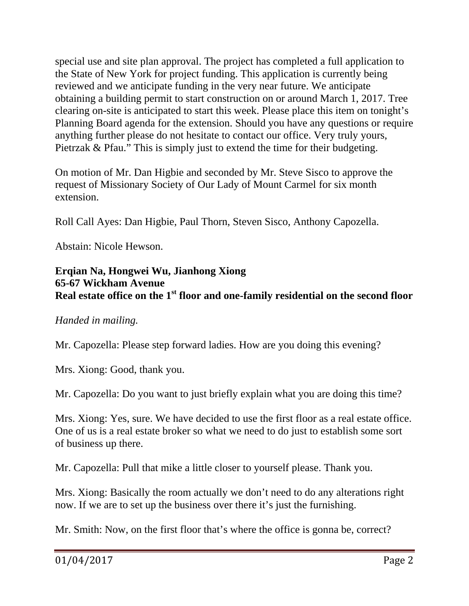special use and site plan approval. The project has completed a full application to the State of New York for project funding. This application is currently being reviewed and we anticipate funding in the very near future. We anticipate obtaining a building permit to start construction on or around March 1, 2017. Tree clearing on-site is anticipated to start this week. Please place this item on tonight's Planning Board agenda for the extension. Should you have any questions or require anything further please do not hesitate to contact our office. Very truly yours, Pietrzak & Pfau." This is simply just to extend the time for their budgeting.

On motion of Mr. Dan Higbie and seconded by Mr. Steve Sisco to approve the request of Missionary Society of Our Lady of Mount Carmel for six month extension.

Roll Call Ayes: Dan Higbie, Paul Thorn, Steven Sisco, Anthony Capozella.

Abstain: Nicole Hewson.

### **Erqian Na, Hongwei Wu, Jianhong Xiong 65-67 Wickham Avenue Real estate office on the 1st floor and one-family residential on the second floor**

#### *Handed in mailing.*

Mr. Capozella: Please step forward ladies. How are you doing this evening?

Mrs. Xiong: Good, thank you.

Mr. Capozella: Do you want to just briefly explain what you are doing this time?

Mrs. Xiong: Yes, sure. We have decided to use the first floor as a real estate office. One of us is a real estate broker so what we need to do just to establish some sort of business up there.

Mr. Capozella: Pull that mike a little closer to yourself please. Thank you.

Mrs. Xiong: Basically the room actually we don't need to do any alterations right now. If we are to set up the business over there it's just the furnishing.

Mr. Smith: Now, on the first floor that's where the office is gonna be, correct?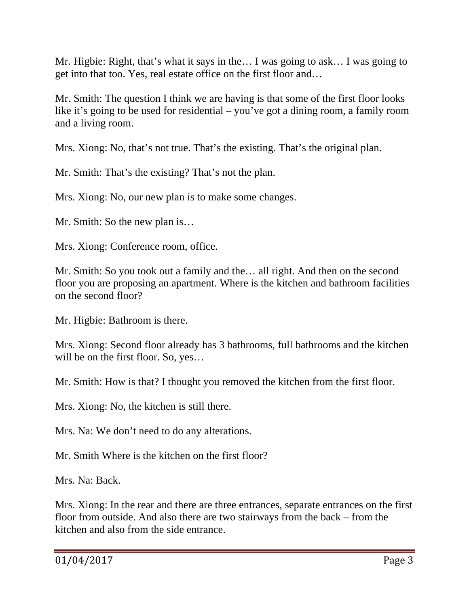Mr. Higbie: Right, that's what it says in the… I was going to ask… I was going to get into that too. Yes, real estate office on the first floor and…

Mr. Smith: The question I think we are having is that some of the first floor looks like it's going to be used for residential – you've got a dining room, a family room and a living room.

Mrs. Xiong: No, that's not true. That's the existing. That's the original plan.

Mr. Smith: That's the existing? That's not the plan.

Mrs. Xiong: No, our new plan is to make some changes.

Mr. Smith: So the new plan is…

Mrs. Xiong: Conference room, office.

Mr. Smith: So you took out a family and the… all right. And then on the second floor you are proposing an apartment. Where is the kitchen and bathroom facilities on the second floor?

Mr. Higbie: Bathroom is there.

Mrs. Xiong: Second floor already has 3 bathrooms, full bathrooms and the kitchen will be on the first floor. So, yes...

Mr. Smith: How is that? I thought you removed the kitchen from the first floor.

Mrs. Xiong: No, the kitchen is still there.

Mrs. Na: We don't need to do any alterations.

Mr. Smith Where is the kitchen on the first floor?

Mrs. Na: Back.

Mrs. Xiong: In the rear and there are three entrances, separate entrances on the first floor from outside. And also there are two stairways from the back – from the kitchen and also from the side entrance.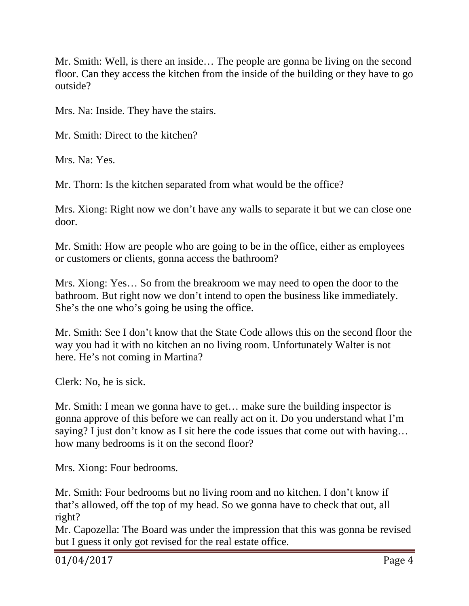Mr. Smith: Well, is there an inside… The people are gonna be living on the second floor. Can they access the kitchen from the inside of the building or they have to go outside?

Mrs. Na: Inside. They have the stairs.

Mr. Smith: Direct to the kitchen?

Mrs. Na: Yes.

Mr. Thorn: Is the kitchen separated from what would be the office?

Mrs. Xiong: Right now we don't have any walls to separate it but we can close one door.

Mr. Smith: How are people who are going to be in the office, either as employees or customers or clients, gonna access the bathroom?

Mrs. Xiong: Yes… So from the breakroom we may need to open the door to the bathroom. But right now we don't intend to open the business like immediately. She's the one who's going be using the office.

Mr. Smith: See I don't know that the State Code allows this on the second floor the way you had it with no kitchen an no living room. Unfortunately Walter is not here. He's not coming in Martina?

Clerk: No, he is sick.

Mr. Smith: I mean we gonna have to get… make sure the building inspector is gonna approve of this before we can really act on it. Do you understand what I'm saying? I just don't know as I sit here the code issues that come out with having... how many bedrooms is it on the second floor?

Mrs. Xiong: Four bedrooms.

Mr. Smith: Four bedrooms but no living room and no kitchen. I don't know if that's allowed, off the top of my head. So we gonna have to check that out, all right?

Mr. Capozella: The Board was under the impression that this was gonna be revised but I guess it only got revised for the real estate office.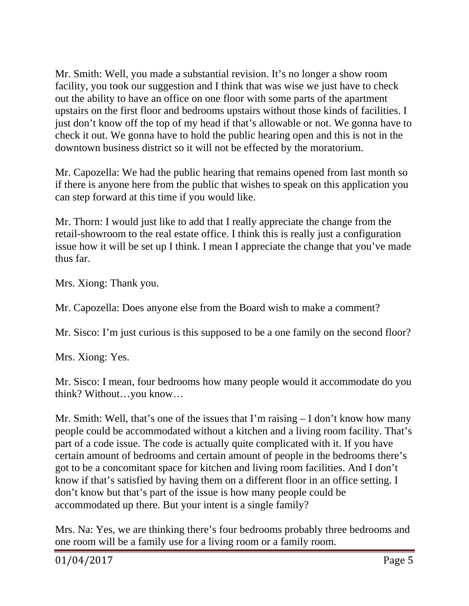Mr. Smith: Well, you made a substantial revision. It's no longer a show room facility, you took our suggestion and I think that was wise we just have to check out the ability to have an office on one floor with some parts of the apartment upstairs on the first floor and bedrooms upstairs without those kinds of facilities. I just don't know off the top of my head if that's allowable or not. We gonna have to check it out. We gonna have to hold the public hearing open and this is not in the downtown business district so it will not be effected by the moratorium.

Mr. Capozella: We had the public hearing that remains opened from last month so if there is anyone here from the public that wishes to speak on this application you can step forward at this time if you would like.

Mr. Thorn: I would just like to add that I really appreciate the change from the retail-showroom to the real estate office. I think this is really just a configuration issue how it will be set up I think. I mean I appreciate the change that you've made thus far.

Mrs. Xiong: Thank you.

Mr. Capozella: Does anyone else from the Board wish to make a comment?

Mr. Sisco: I'm just curious is this supposed to be a one family on the second floor?

Mrs. Xiong: Yes.

Mr. Sisco: I mean, four bedrooms how many people would it accommodate do you think? Without…you know…

Mr. Smith: Well, that's one of the issues that I'm raising – I don't know how many people could be accommodated without a kitchen and a living room facility. That's part of a code issue. The code is actually quite complicated with it. If you have certain amount of bedrooms and certain amount of people in the bedrooms there's got to be a concomitant space for kitchen and living room facilities. And I don't know if that's satisfied by having them on a different floor in an office setting. I don't know but that's part of the issue is how many people could be accommodated up there. But your intent is a single family?

Mrs. Na: Yes, we are thinking there's four bedrooms probably three bedrooms and one room will be a family use for a living room or a family room.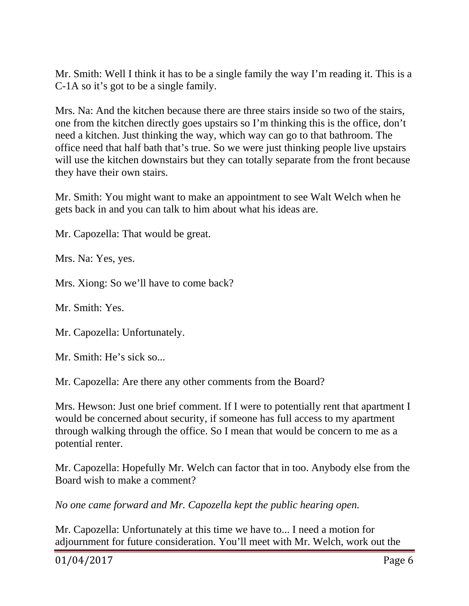Mr. Smith: Well I think it has to be a single family the way I'm reading it. This is a C-1A so it's got to be a single family.

Mrs. Na: And the kitchen because there are three stairs inside so two of the stairs, one from the kitchen directly goes upstairs so I'm thinking this is the office, don't need a kitchen. Just thinking the way, which way can go to that bathroom. The office need that half bath that's true. So we were just thinking people live upstairs will use the kitchen downstairs but they can totally separate from the front because they have their own stairs.

Mr. Smith: You might want to make an appointment to see Walt Welch when he gets back in and you can talk to him about what his ideas are.

Mr. Capozella: That would be great.

Mrs. Na: Yes, yes.

Mrs. Xiong: So we'll have to come back?

Mr. Smith: Yes.

Mr. Capozella: Unfortunately.

Mr. Smith: He's sick so...

Mr. Capozella: Are there any other comments from the Board?

Mrs. Hewson: Just one brief comment. If I were to potentially rent that apartment I would be concerned about security, if someone has full access to my apartment through walking through the office. So I mean that would be concern to me as a potential renter.

Mr. Capozella: Hopefully Mr. Welch can factor that in too. Anybody else from the Board wish to make a comment?

*No one came forward and Mr. Capozella kept the public hearing open.* 

Mr. Capozella: Unfortunately at this time we have to... I need a motion for adjournment for future consideration. You'll meet with Mr. Welch, work out the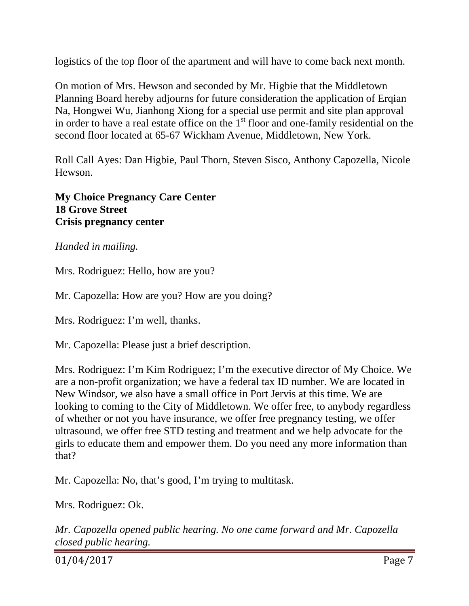logistics of the top floor of the apartment and will have to come back next month.

On motion of Mrs. Hewson and seconded by Mr. Higbie that the Middletown Planning Board hereby adjourns for future consideration the application of Erqian Na, Hongwei Wu, Jianhong Xiong for a special use permit and site plan approval in order to have a real estate office on the  $1<sup>st</sup>$  floor and one-family residential on the second floor located at 65-67 Wickham Avenue, Middletown, New York.

Roll Call Ayes: Dan Higbie, Paul Thorn, Steven Sisco, Anthony Capozella, Nicole Hewson.

**My Choice Pregnancy Care Center 18 Grove Street Crisis pregnancy center** 

*Handed in mailing.*

Mrs. Rodriguez: Hello, how are you?

Mr. Capozella: How are you? How are you doing?

Mrs. Rodriguez: I'm well, thanks.

Mr. Capozella: Please just a brief description.

Mrs. Rodriguez: I'm Kim Rodriguez; I'm the executive director of My Choice. We are a non-profit organization; we have a federal tax ID number. We are located in New Windsor, we also have a small office in Port Jervis at this time. We are looking to coming to the City of Middletown. We offer free, to anybody regardless of whether or not you have insurance, we offer free pregnancy testing, we offer ultrasound, we offer free STD testing and treatment and we help advocate for the girls to educate them and empower them. Do you need any more information than that?

Mr. Capozella: No, that's good, I'm trying to multitask.

Mrs. Rodriguez: Ok.

*Mr. Capozella opened public hearing. No one came forward and Mr. Capozella closed public hearing.* 

01/04/2017 Page 7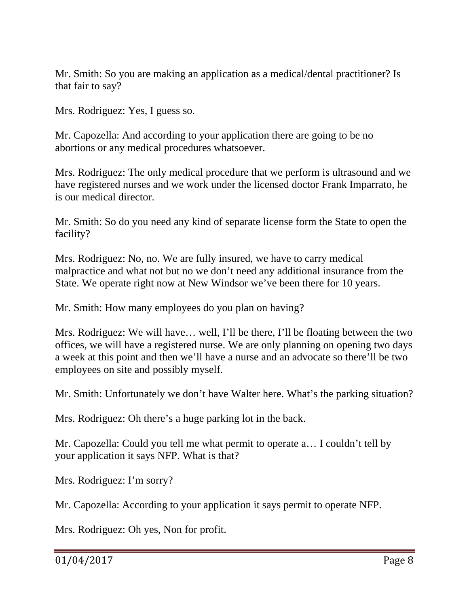Mr. Smith: So you are making an application as a medical/dental practitioner? Is that fair to say?

Mrs. Rodriguez: Yes, I guess so.

Mr. Capozella: And according to your application there are going to be no abortions or any medical procedures whatsoever.

Mrs. Rodriguez: The only medical procedure that we perform is ultrasound and we have registered nurses and we work under the licensed doctor Frank Imparrato, he is our medical director.

Mr. Smith: So do you need any kind of separate license form the State to open the facility?

Mrs. Rodriguez: No, no. We are fully insured, we have to carry medical malpractice and what not but no we don't need any additional insurance from the State. We operate right now at New Windsor we've been there for 10 years.

Mr. Smith: How many employees do you plan on having?

Mrs. Rodriguez: We will have… well, I'll be there, I'll be floating between the two offices, we will have a registered nurse. We are only planning on opening two days a week at this point and then we'll have a nurse and an advocate so there'll be two employees on site and possibly myself.

Mr. Smith: Unfortunately we don't have Walter here. What's the parking situation?

Mrs. Rodriguez: Oh there's a huge parking lot in the back.

Mr. Capozella: Could you tell me what permit to operate a… I couldn't tell by your application it says NFP. What is that?

Mrs. Rodriguez: I'm sorry?

Mr. Capozella: According to your application it says permit to operate NFP.

Mrs. Rodriguez: Oh yes, Non for profit.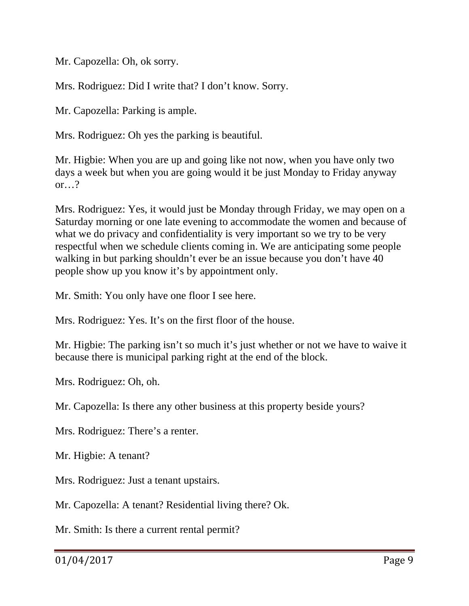Mr. Capozella: Oh, ok sorry.

Mrs. Rodriguez: Did I write that? I don't know. Sorry.

Mr. Capozella: Parking is ample.

Mrs. Rodriguez: Oh yes the parking is beautiful.

Mr. Higbie: When you are up and going like not now, when you have only two days a week but when you are going would it be just Monday to Friday anyway or…?

Mrs. Rodriguez: Yes, it would just be Monday through Friday, we may open on a Saturday morning or one late evening to accommodate the women and because of what we do privacy and confidentiality is very important so we try to be very respectful when we schedule clients coming in. We are anticipating some people walking in but parking shouldn't ever be an issue because you don't have 40 people show up you know it's by appointment only.

Mr. Smith: You only have one floor I see here.

Mrs. Rodriguez: Yes. It's on the first floor of the house.

Mr. Higbie: The parking isn't so much it's just whether or not we have to waive it because there is municipal parking right at the end of the block.

Mrs. Rodriguez: Oh, oh.

Mr. Capozella: Is there any other business at this property beside yours?

Mrs. Rodriguez: There's a renter.

Mr. Higbie: A tenant?

Mrs. Rodriguez: Just a tenant upstairs.

Mr. Capozella: A tenant? Residential living there? Ok.

Mr. Smith: Is there a current rental permit?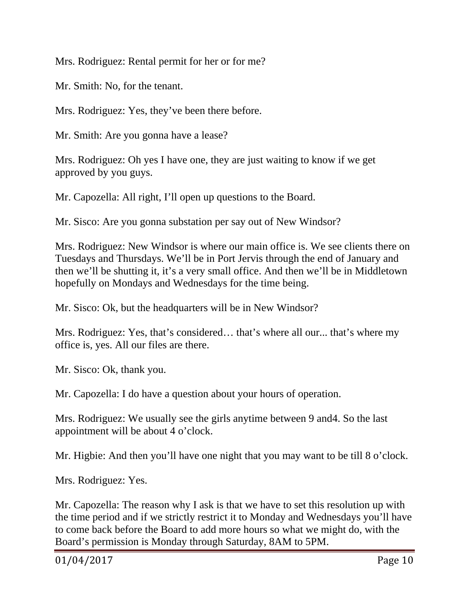Mrs. Rodriguez: Rental permit for her or for me?

Mr. Smith: No, for the tenant.

Mrs. Rodriguez: Yes, they've been there before.

Mr. Smith: Are you gonna have a lease?

Mrs. Rodriguez: Oh yes I have one, they are just waiting to know if we get approved by you guys.

Mr. Capozella: All right, I'll open up questions to the Board.

Mr. Sisco: Are you gonna substation per say out of New Windsor?

Mrs. Rodriguez: New Windsor is where our main office is. We see clients there on Tuesdays and Thursdays. We'll be in Port Jervis through the end of January and then we'll be shutting it, it's a very small office. And then we'll be in Middletown hopefully on Mondays and Wednesdays for the time being.

Mr. Sisco: Ok, but the headquarters will be in New Windsor?

Mrs. Rodriguez: Yes, that's considered… that's where all our... that's where my office is, yes. All our files are there.

Mr. Sisco: Ok, thank you.

Mr. Capozella: I do have a question about your hours of operation.

Mrs. Rodriguez: We usually see the girls anytime between 9 and4. So the last appointment will be about 4 o'clock.

Mr. Higbie: And then you'll have one night that you may want to be till 8 o'clock.

Mrs. Rodriguez: Yes.

Mr. Capozella: The reason why I ask is that we have to set this resolution up with the time period and if we strictly restrict it to Monday and Wednesdays you'll have to come back before the Board to add more hours so what we might do, with the Board's permission is Monday through Saturday, 8AM to 5PM.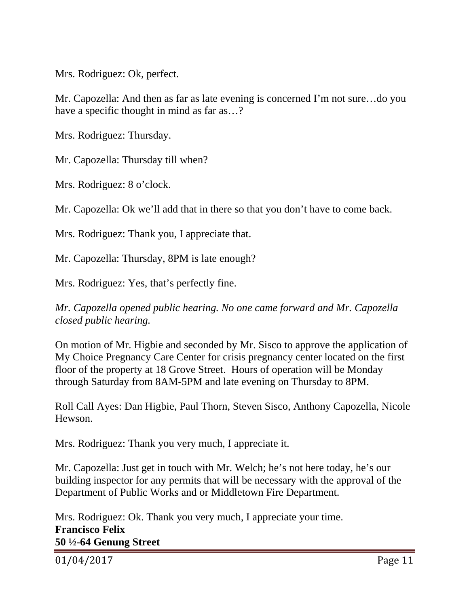Mrs. Rodriguez: Ok, perfect.

Mr. Capozella: And then as far as late evening is concerned I'm not sure…do you have a specific thought in mind as far as...?

Mrs. Rodriguez: Thursday.

Mr. Capozella: Thursday till when?

Mrs. Rodriguez: 8 o'clock.

Mr. Capozella: Ok we'll add that in there so that you don't have to come back.

Mrs. Rodriguez: Thank you, I appreciate that.

Mr. Capozella: Thursday, 8PM is late enough?

Mrs. Rodriguez: Yes, that's perfectly fine.

*Mr. Capozella opened public hearing. No one came forward and Mr. Capozella closed public hearing.* 

On motion of Mr. Higbie and seconded by Mr. Sisco to approve the application of My Choice Pregnancy Care Center for crisis pregnancy center located on the first floor of the property at 18 Grove Street. Hours of operation will be Monday through Saturday from 8AM-5PM and late evening on Thursday to 8PM.

Roll Call Ayes: Dan Higbie, Paul Thorn, Steven Sisco, Anthony Capozella, Nicole Hewson.

Mrs. Rodriguez: Thank you very much, I appreciate it.

Mr. Capozella: Just get in touch with Mr. Welch; he's not here today, he's our building inspector for any permits that will be necessary with the approval of the Department of Public Works and or Middletown Fire Department.

Mrs. Rodriguez: Ok. Thank you very much, I appreciate your time. **Francisco Felix 50 ½-64 Genung Street** 

01/04/2017 Page 11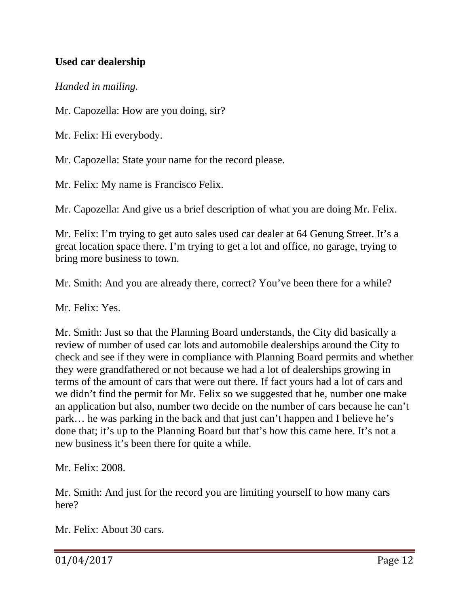# **Used car dealership**

### *Handed in mailing.*

Mr. Capozella: How are you doing, sir?

Mr. Felix: Hi everybody.

Mr. Capozella: State your name for the record please.

Mr. Felix: My name is Francisco Felix.

Mr. Capozella: And give us a brief description of what you are doing Mr. Felix.

Mr. Felix: I'm trying to get auto sales used car dealer at 64 Genung Street. It's a great location space there. I'm trying to get a lot and office, no garage, trying to bring more business to town.

Mr. Smith: And you are already there, correct? You've been there for a while?

Mr. Felix: Yes.

Mr. Smith: Just so that the Planning Board understands, the City did basically a review of number of used car lots and automobile dealerships around the City to check and see if they were in compliance with Planning Board permits and whether they were grandfathered or not because we had a lot of dealerships growing in terms of the amount of cars that were out there. If fact yours had a lot of cars and we didn't find the permit for Mr. Felix so we suggested that he, number one make an application but also, number two decide on the number of cars because he can't park… he was parking in the back and that just can't happen and I believe he's done that; it's up to the Planning Board but that's how this came here. It's not a new business it's been there for quite a while.

Mr. Felix: 2008.

Mr. Smith: And just for the record you are limiting yourself to how many cars here?

Mr. Felix: About 30 cars.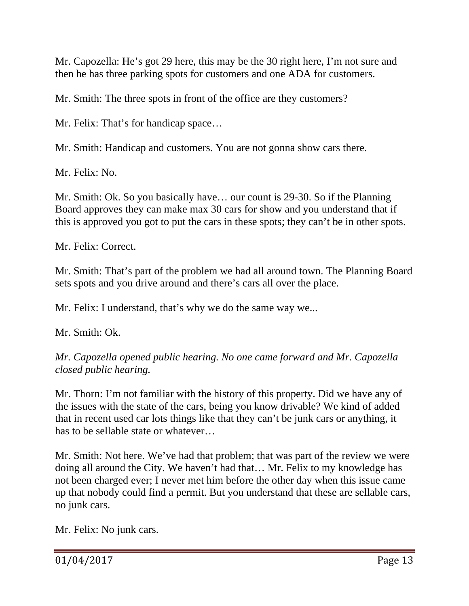Mr. Capozella: He's got 29 here, this may be the 30 right here, I'm not sure and then he has three parking spots for customers and one ADA for customers.

Mr. Smith: The three spots in front of the office are they customers?

Mr. Felix: That's for handicap space…

Mr. Smith: Handicap and customers. You are not gonna show cars there.

Mr. Felix: No.

Mr. Smith: Ok. So you basically have… our count is 29-30. So if the Planning Board approves they can make max 30 cars for show and you understand that if this is approved you got to put the cars in these spots; they can't be in other spots.

Mr. Felix: Correct.

Mr. Smith: That's part of the problem we had all around town. The Planning Board sets spots and you drive around and there's cars all over the place.

Mr. Felix: I understand, that's why we do the same way we...

Mr. Smith: Ok.

*Mr. Capozella opened public hearing. No one came forward and Mr. Capozella closed public hearing.* 

Mr. Thorn: I'm not familiar with the history of this property. Did we have any of the issues with the state of the cars, being you know drivable? We kind of added that in recent used car lots things like that they can't be junk cars or anything, it has to be sellable state or whatever…

Mr. Smith: Not here. We've had that problem; that was part of the review we were doing all around the City. We haven't had that… Mr. Felix to my knowledge has not been charged ever; I never met him before the other day when this issue came up that nobody could find a permit. But you understand that these are sellable cars, no junk cars.

Mr. Felix: No junk cars.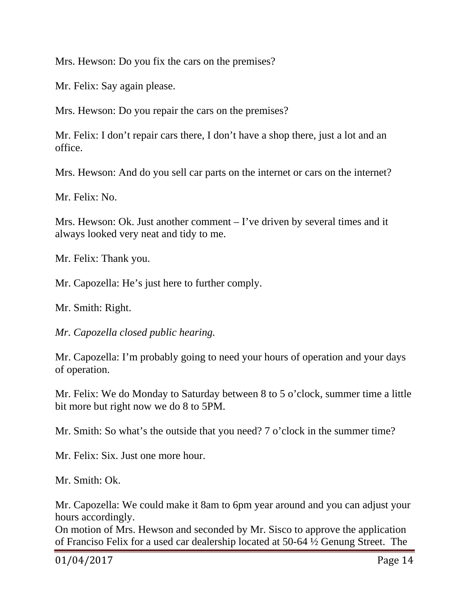Mrs. Hewson: Do you fix the cars on the premises?

Mr. Felix: Say again please.

Mrs. Hewson: Do you repair the cars on the premises?

Mr. Felix: I don't repair cars there, I don't have a shop there, just a lot and an office.

Mrs. Hewson: And do you sell car parts on the internet or cars on the internet?

Mr. Felix: No.

Mrs. Hewson: Ok. Just another comment  $-$  I've driven by several times and it always looked very neat and tidy to me.

Mr. Felix: Thank you.

Mr. Capozella: He's just here to further comply.

Mr. Smith: Right.

*Mr. Capozella closed public hearing.* 

Mr. Capozella: I'm probably going to need your hours of operation and your days of operation.

Mr. Felix: We do Monday to Saturday between 8 to 5 o'clock, summer time a little bit more but right now we do 8 to 5PM.

Mr. Smith: So what's the outside that you need? 7 o'clock in the summer time?

Mr. Felix: Six. Just one more hour.

Mr. Smith: Ok.

Mr. Capozella: We could make it 8am to 6pm year around and you can adjust your hours accordingly.

On motion of Mrs. Hewson and seconded by Mr. Sisco to approve the application of Franciso Felix for a used car dealership located at 50-64 ½ Genung Street. The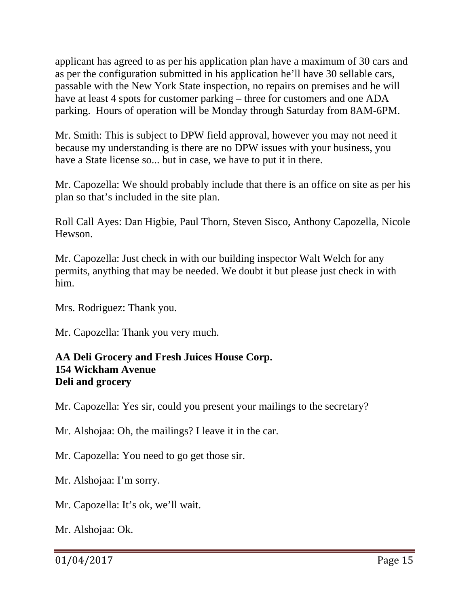applicant has agreed to as per his application plan have a maximum of 30 cars and as per the configuration submitted in his application he'll have 30 sellable cars, passable with the New York State inspection, no repairs on premises and he will have at least 4 spots for customer parking – three for customers and one ADA parking. Hours of operation will be Monday through Saturday from 8AM-6PM.

Mr. Smith: This is subject to DPW field approval, however you may not need it because my understanding is there are no DPW issues with your business, you have a State license so... but in case, we have to put it in there.

Mr. Capozella: We should probably include that there is an office on site as per his plan so that's included in the site plan.

Roll Call Ayes: Dan Higbie, Paul Thorn, Steven Sisco, Anthony Capozella, Nicole Hewson.

Mr. Capozella: Just check in with our building inspector Walt Welch for any permits, anything that may be needed. We doubt it but please just check in with him.

Mrs. Rodriguez: Thank you.

Mr. Capozella: Thank you very much.

### **AA Deli Grocery and Fresh Juices House Corp. 154 Wickham Avenue Deli and grocery**

Mr. Capozella: Yes sir, could you present your mailings to the secretary?

Mr. Alshojaa: Oh, the mailings? I leave it in the car.

Mr. Capozella: You need to go get those sir.

Mr. Alshojaa: I'm sorry.

Mr. Capozella: It's ok, we'll wait.

Mr. Alshojaa: Ok.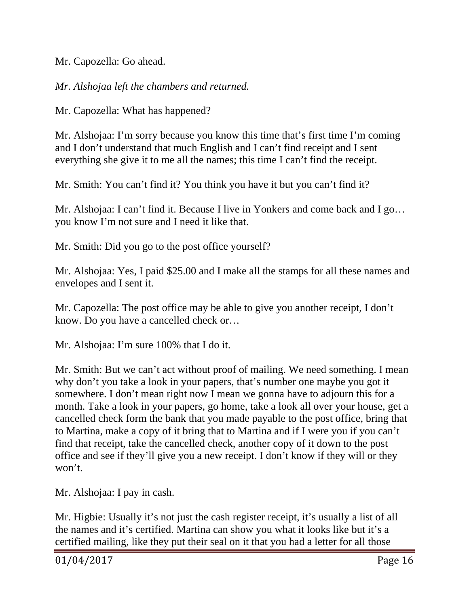Mr. Capozella: Go ahead.

*Mr. Alshojaa left the chambers and returned.* 

Mr. Capozella: What has happened?

Mr. Alshojaa: I'm sorry because you know this time that's first time I'm coming and I don't understand that much English and I can't find receipt and I sent everything she give it to me all the names; this time I can't find the receipt.

Mr. Smith: You can't find it? You think you have it but you can't find it?

Mr. Alshojaa: I can't find it. Because I live in Yonkers and come back and I go… you know I'm not sure and I need it like that.

Mr. Smith: Did you go to the post office yourself?

Mr. Alshojaa: Yes, I paid \$25.00 and I make all the stamps for all these names and envelopes and I sent it.

Mr. Capozella: The post office may be able to give you another receipt, I don't know. Do you have a cancelled check or…

Mr. Alshojaa: I'm sure 100% that I do it.

Mr. Smith: But we can't act without proof of mailing. We need something. I mean why don't you take a look in your papers, that's number one maybe you got it somewhere. I don't mean right now I mean we gonna have to adjourn this for a month. Take a look in your papers, go home, take a look all over your house, get a cancelled check form the bank that you made payable to the post office, bring that to Martina, make a copy of it bring that to Martina and if I were you if you can't find that receipt, take the cancelled check, another copy of it down to the post office and see if they'll give you a new receipt. I don't know if they will or they won't.

Mr. Alshojaa: I pay in cash.

Mr. Higbie: Usually it's not just the cash register receipt, it's usually a list of all the names and it's certified. Martina can show you what it looks like but it's a certified mailing, like they put their seal on it that you had a letter for all those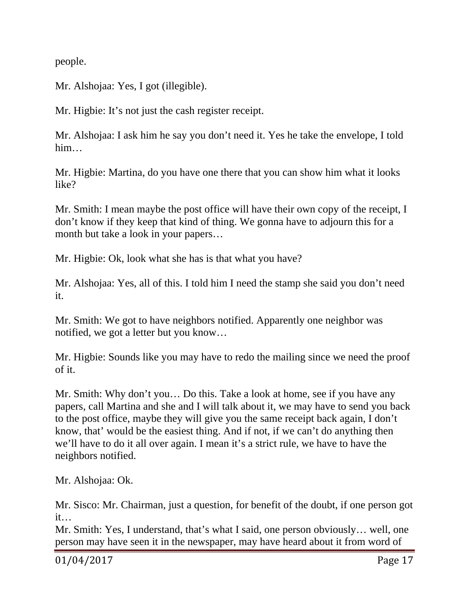people.

Mr. Alshojaa: Yes, I got (illegible).

Mr. Higbie: It's not just the cash register receipt.

Mr. Alshojaa: I ask him he say you don't need it. Yes he take the envelope, I told him…

Mr. Higbie: Martina, do you have one there that you can show him what it looks like?

Mr. Smith: I mean maybe the post office will have their own copy of the receipt, I don't know if they keep that kind of thing. We gonna have to adjourn this for a month but take a look in your papers…

Mr. Higbie: Ok, look what she has is that what you have?

Mr. Alshojaa: Yes, all of this. I told him I need the stamp she said you don't need it.

Mr. Smith: We got to have neighbors notified. Apparently one neighbor was notified, we got a letter but you know…

Mr. Higbie: Sounds like you may have to redo the mailing since we need the proof of it.

Mr. Smith: Why don't you… Do this. Take a look at home, see if you have any papers, call Martina and she and I will talk about it, we may have to send you back to the post office, maybe they will give you the same receipt back again, I don't know, that' would be the easiest thing. And if not, if we can't do anything then we'll have to do it all over again. I mean it's a strict rule, we have to have the neighbors notified.

Mr. Alshojaa: Ok.

Mr. Sisco: Mr. Chairman, just a question, for benefit of the doubt, if one person got it…

Mr. Smith: Yes, I understand, that's what I said, one person obviously… well, one person may have seen it in the newspaper, may have heard about it from word of

01/04/2017 Page 17